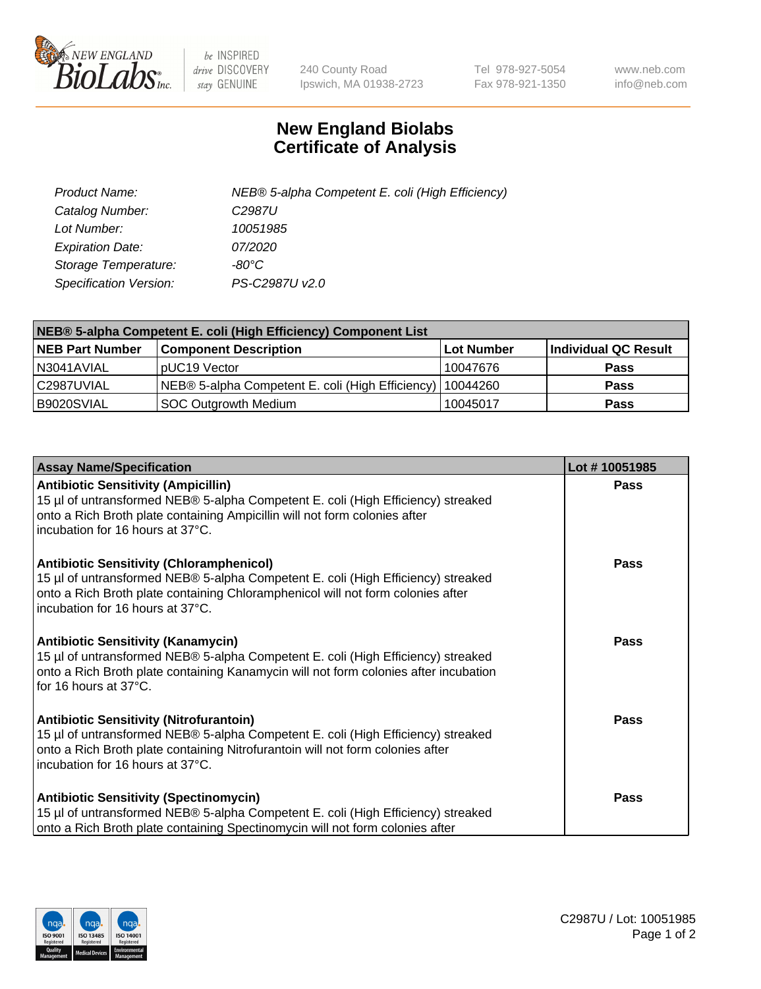

 $be$  INSPIRED drive DISCOVERY stay GENUINE

240 County Road Ipswich, MA 01938-2723 Tel 978-927-5054 Fax 978-921-1350 www.neb.com info@neb.com

## **New England Biolabs Certificate of Analysis**

| Product Name:                 | NEB® 5-alpha Competent E. coli (High Efficiency) |
|-------------------------------|--------------------------------------------------|
| Catalog Number:               | C <sub>2987</sub> U                              |
| Lot Number:                   | 10051985                                         |
| <b>Expiration Date:</b>       | <i>07/2020</i>                                   |
| Storage Temperature:          | -80°C                                            |
| <b>Specification Version:</b> | PS-C2987U v2.0                                   |

| NEB® 5-alpha Competent E. coli (High Efficiency) Component List |                                                  |            |                      |  |
|-----------------------------------------------------------------|--------------------------------------------------|------------|----------------------|--|
| <b>NEB Part Number</b>                                          | <b>Component Description</b>                     | Lot Number | Individual QC Result |  |
| N3041AVIAL                                                      | pUC19 Vector                                     | 10047676   | <b>Pass</b>          |  |
| C2987UVIAL                                                      | NEB® 5-alpha Competent E. coli (High Efficiency) | 10044260   | <b>Pass</b>          |  |
| B9020SVIAL                                                      | <b>SOC Outgrowth Medium</b>                      | 10045017   | <b>Pass</b>          |  |

| <b>Assay Name/Specification</b>                                                                                                                                                                                                                            | Lot #10051985 |
|------------------------------------------------------------------------------------------------------------------------------------------------------------------------------------------------------------------------------------------------------------|---------------|
| <b>Antibiotic Sensitivity (Ampicillin)</b><br>15 µl of untransformed NEB® 5-alpha Competent E. coli (High Efficiency) streaked<br>onto a Rich Broth plate containing Ampicillin will not form colonies after<br>incubation for 16 hours at 37°C.           | Pass          |
| <b>Antibiotic Sensitivity (Chloramphenicol)</b><br>15 µl of untransformed NEB® 5-alpha Competent E. coli (High Efficiency) streaked<br>onto a Rich Broth plate containing Chloramphenicol will not form colonies after<br>incubation for 16 hours at 37°C. | Pass          |
| Antibiotic Sensitivity (Kanamycin)<br>15 µl of untransformed NEB® 5-alpha Competent E. coli (High Efficiency) streaked<br>onto a Rich Broth plate containing Kanamycin will not form colonies after incubation<br>for 16 hours at 37°C.                    | Pass          |
| <b>Antibiotic Sensitivity (Nitrofurantoin)</b><br>15 µl of untransformed NEB® 5-alpha Competent E. coli (High Efficiency) streaked<br>onto a Rich Broth plate containing Nitrofurantoin will not form colonies after<br>incubation for 16 hours at 37°C.   | <b>Pass</b>   |
| <b>Antibiotic Sensitivity (Spectinomycin)</b><br>15 µl of untransformed NEB® 5-alpha Competent E. coli (High Efficiency) streaked<br>onto a Rich Broth plate containing Spectinomycin will not form colonies after                                         | Pass          |